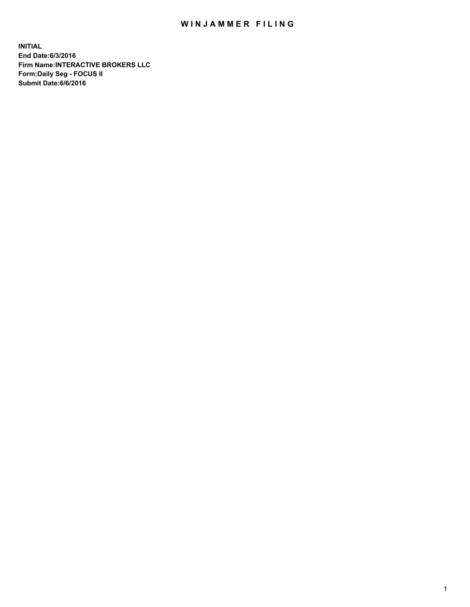## WIN JAMMER FILING

**INITIAL End Date:6/3/2016 Firm Name:INTERACTIVE BROKERS LLC Form:Daily Seg - FOCUS II Submit Date:6/6/2016**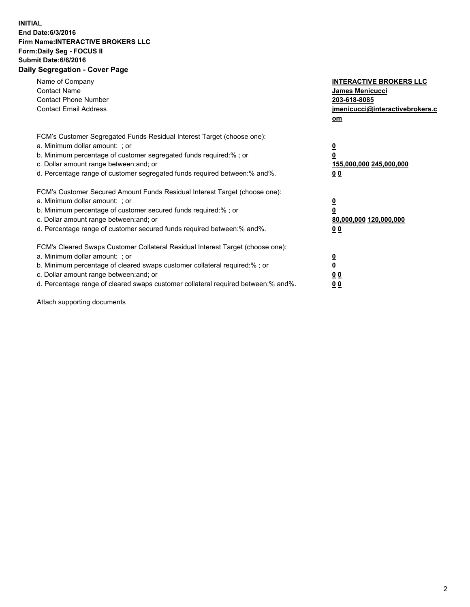## **INITIAL End Date:6/3/2016 Firm Name:INTERACTIVE BROKERS LLC Form:Daily Seg - FOCUS II Submit Date:6/6/2016 Daily Segregation - Cover Page**

| Name of Company<br><b>Contact Name</b><br><b>Contact Phone Number</b><br><b>Contact Email Address</b>                                                                                                                                                                                                                          | <b>INTERACTIVE BROKERS LLC</b><br><b>James Menicucci</b><br>203-618-8085<br>jmenicucci@interactivebrokers.c<br>om |
|--------------------------------------------------------------------------------------------------------------------------------------------------------------------------------------------------------------------------------------------------------------------------------------------------------------------------------|-------------------------------------------------------------------------------------------------------------------|
| FCM's Customer Segregated Funds Residual Interest Target (choose one):<br>a. Minimum dollar amount: ; or<br>b. Minimum percentage of customer segregated funds required:% ; or<br>c. Dollar amount range between: and; or<br>d. Percentage range of customer segregated funds required between: % and %.                       | $\overline{\mathbf{0}}$<br>0<br>155,000,000 245,000,000<br>00                                                     |
| FCM's Customer Secured Amount Funds Residual Interest Target (choose one):<br>a. Minimum dollar amount: ; or<br>b. Minimum percentage of customer secured funds required:%; or<br>c. Dollar amount range between: and; or<br>d. Percentage range of customer secured funds required between: % and %.                          | $\overline{\mathbf{0}}$<br>0<br>80,000,000 120,000,000<br>0 <sub>0</sub>                                          |
| FCM's Cleared Swaps Customer Collateral Residual Interest Target (choose one):<br>a. Minimum dollar amount: ; or<br>b. Minimum percentage of cleared swaps customer collateral required:% ; or<br>c. Dollar amount range between: and; or<br>d. Percentage range of cleared swaps customer collateral required between:% and%. | $\overline{\mathbf{0}}$<br>$\underline{\mathbf{0}}$<br>0 <sub>0</sub><br>0 <sub>0</sub>                           |

Attach supporting documents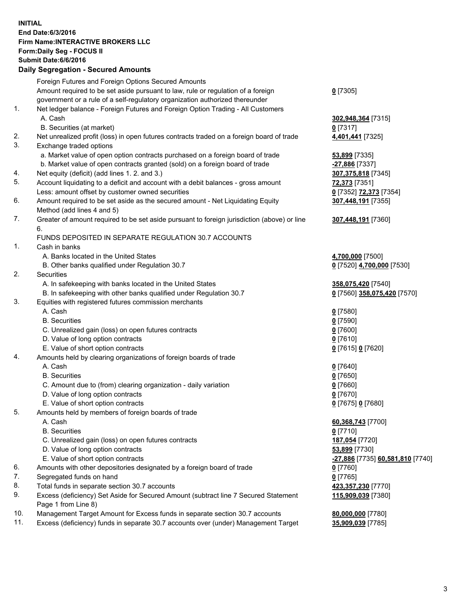## **INITIAL End Date:6/3/2016 Firm Name:INTERACTIVE BROKERS LLC Form:Daily Seg - FOCUS II Submit Date:6/6/2016 Daily Segregation - Secured Amounts**

|     | Foreign Futures and Foreign Options Secured Amounts                                         |                                  |
|-----|---------------------------------------------------------------------------------------------|----------------------------------|
|     | Amount required to be set aside pursuant to law, rule or regulation of a foreign            | $0$ [7305]                       |
|     | government or a rule of a self-regulatory organization authorized thereunder                |                                  |
| 1.  | Net ledger balance - Foreign Futures and Foreign Option Trading - All Customers             |                                  |
|     | A. Cash                                                                                     | 302,948,364 [7315]               |
|     | B. Securities (at market)                                                                   | $0$ [7317]                       |
| 2.  | Net unrealized profit (loss) in open futures contracts traded on a foreign board of trade   | 4,401,441 [7325]                 |
| 3.  | Exchange traded options                                                                     |                                  |
|     | a. Market value of open option contracts purchased on a foreign board of trade              | 53,899 [7335]                    |
|     | b. Market value of open contracts granted (sold) on a foreign board of trade                | -27,886 [7337]                   |
| 4.  | Net equity (deficit) (add lines 1.2. and 3.)                                                | 307,375,818 [7345]               |
| 5.  | Account liquidating to a deficit and account with a debit balances - gross amount           | 72,373 [7351]                    |
|     | Less: amount offset by customer owned securities                                            | 0 [7352] 72,373 [7354]           |
| 6.  | Amount required to be set aside as the secured amount - Net Liquidating Equity              | 307,448,191 [7355]               |
|     | Method (add lines 4 and 5)                                                                  |                                  |
| 7.  |                                                                                             |                                  |
|     | Greater of amount required to be set aside pursuant to foreign jurisdiction (above) or line | 307,448,191 [7360]               |
|     | 6.                                                                                          |                                  |
|     | FUNDS DEPOSITED IN SEPARATE REGULATION 30.7 ACCOUNTS                                        |                                  |
| 1.  | Cash in banks                                                                               |                                  |
|     | A. Banks located in the United States                                                       | 4,700,000 [7500]                 |
|     | B. Other banks qualified under Regulation 30.7                                              | 0 [7520] 4,700,000 [7530]        |
| 2.  | Securities                                                                                  |                                  |
|     | A. In safekeeping with banks located in the United States                                   | 358,075,420 [7540]               |
|     | B. In safekeeping with other banks qualified under Regulation 30.7                          | 0 [7560] 358,075,420 [7570]      |
| 3.  | Equities with registered futures commission merchants                                       |                                  |
|     | A. Cash                                                                                     | $0$ [7580]                       |
|     | <b>B.</b> Securities                                                                        | $0$ [7590]                       |
|     | C. Unrealized gain (loss) on open futures contracts                                         | $0$ [7600]                       |
|     | D. Value of long option contracts                                                           | $0$ [7610]                       |
|     | E. Value of short option contracts                                                          | 0 [7615] 0 [7620]                |
| 4.  | Amounts held by clearing organizations of foreign boards of trade                           |                                  |
|     | A. Cash                                                                                     | $0$ [7640]                       |
|     | <b>B.</b> Securities                                                                        | $0$ [7650]                       |
|     | C. Amount due to (from) clearing organization - daily variation                             | $0$ [7660]                       |
|     | D. Value of long option contracts                                                           | $0$ [7670]                       |
|     | E. Value of short option contracts                                                          | 0 [7675] 0 [7680]                |
| 5.  | Amounts held by members of foreign boards of trade                                          |                                  |
|     | A. Cash                                                                                     | 60,368,743 [7700]                |
|     | <b>B.</b> Securities                                                                        | $0$ [7710]                       |
|     | C. Unrealized gain (loss) on open futures contracts                                         | 187,054 [7720]                   |
|     | D. Value of long option contracts                                                           | 53,899 [7730]                    |
|     | E. Value of short option contracts                                                          | -27,886 [7735] 60,581,810 [7740] |
| 6.  | Amounts with other depositories designated by a foreign board of trade                      | $0$ [7760]                       |
| 7.  | Segregated funds on hand                                                                    | $0$ [7765]                       |
| 8.  | Total funds in separate section 30.7 accounts                                               | 423,357,230 [7770]               |
| 9.  | Excess (deficiency) Set Aside for Secured Amount (subtract line 7 Secured Statement         | 115,909,039 [7380]               |
|     | Page 1 from Line 8)                                                                         |                                  |
| 10. | Management Target Amount for Excess funds in separate section 30.7 accounts                 | 80,000,000 [7780]                |
| 11. | Excess (deficiency) funds in separate 30.7 accounts over (under) Management Target          | 35,909,039 [7785]                |
|     |                                                                                             |                                  |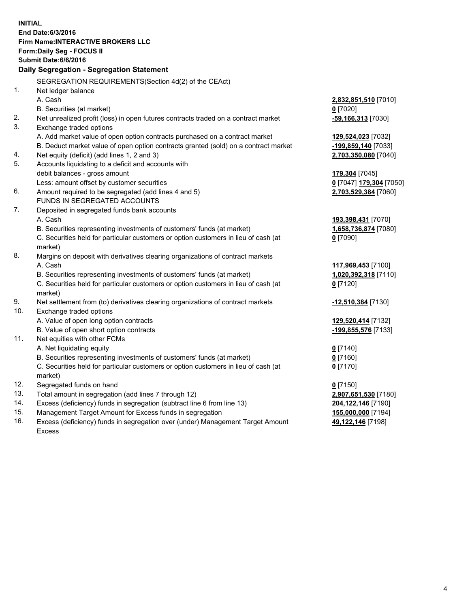**INITIAL End Date:6/3/2016 Firm Name:INTERACTIVE BROKERS LLC Form:Daily Seg - FOCUS II Submit Date:6/6/2016 Daily Segregation - Segregation Statement** SEGREGATION REQUIREMENTS(Section 4d(2) of the CEAct) 1. Net ledger balance A. Cash **2,832,851,510** [7010] B. Securities (at market) **0** [7020] 2. Net unrealized profit (loss) in open futures contracts traded on a contract market **-59,166,313** [7030] 3. Exchange traded options A. Add market value of open option contracts purchased on a contract market **129,524,023** [7032] B. Deduct market value of open option contracts granted (sold) on a contract market **-199,859,140** [7033] 4. Net equity (deficit) (add lines 1, 2 and 3) **2,703,350,080** [7040] 5. Accounts liquidating to a deficit and accounts with debit balances - gross amount **179,304** [7045] Less: amount offset by customer securities **0** [7047] **179,304** [7050] 6. Amount required to be segregated (add lines 4 and 5) **2,703,529,384** [7060] FUNDS IN SEGREGATED ACCOUNTS 7. Deposited in segregated funds bank accounts A. Cash **193,398,431** [7070] B. Securities representing investments of customers' funds (at market) **1,658,736,874** [7080] C. Securities held for particular customers or option customers in lieu of cash (at market) **0** [7090] 8. Margins on deposit with derivatives clearing organizations of contract markets A. Cash **117,969,453** [7100] B. Securities representing investments of customers' funds (at market) **1,020,392,318** [7110] C. Securities held for particular customers or option customers in lieu of cash (at market) **0** [7120] 9. Net settlement from (to) derivatives clearing organizations of contract markets **-12,510,384** [7130] 10. Exchange traded options A. Value of open long option contracts **129,520,414** [7132] B. Value of open short option contracts **-199,855,576** [7133] 11. Net equities with other FCMs A. Net liquidating equity **0** [7140] B. Securities representing investments of customers' funds (at market) **0** [7160] C. Securities held for particular customers or option customers in lieu of cash (at market) **0** [7170] 12. Segregated funds on hand **0** [7150] 13. Total amount in segregation (add lines 7 through 12) **2,907,651,530** [7180] 14. Excess (deficiency) funds in segregation (subtract line 6 from line 13) **204,122,146** [7190] 15. Management Target Amount for Excess funds in segregation **155,000,000** [7194] **49,122,146** [7198]

16. Excess (deficiency) funds in segregation over (under) Management Target Amount Excess